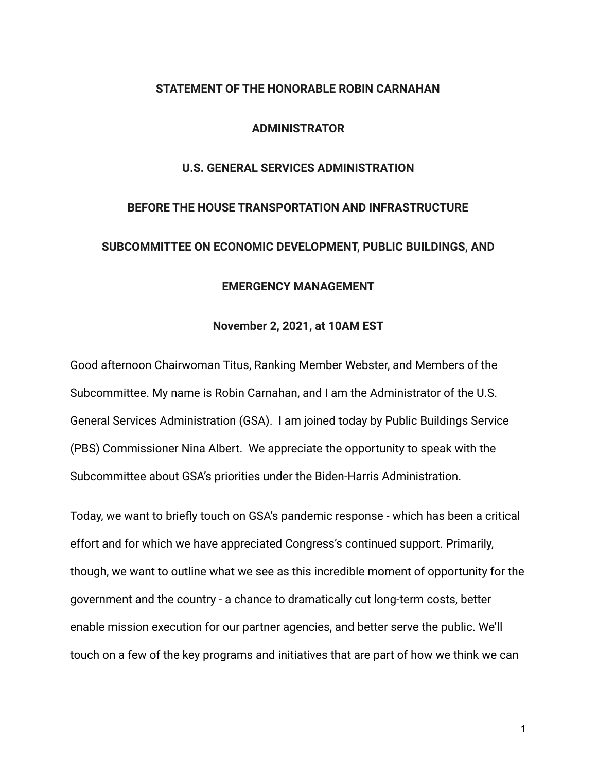#### **STATEMENT OF THE HONORABLE ROBIN CARNAHAN**

#### **ADMINISTRATOR**

## **U.S. GENERAL SERVICES ADMINISTRATION**

# **BEFORE THE HOUSE TRANSPORTATION AND INFRASTRUCTURE SUBCOMMITTEE ON ECONOMIC DEVELOPMENT, PUBLIC BUILDINGS, AND**

## **EMERGENCY MANAGEMENT**

## **November 2, 2021, at 10AM EST**

Good afternoon Chairwoman Titus, Ranking Member Webster, and Members of the Subcommittee. My name is Robin Carnahan, and I am the Administrator of the U.S. General Services Administration (GSA). I am joined today by Public Buildings Service (PBS) Commissioner Nina Albert. We appreciate the opportunity to speak with the Subcommittee about GSA's priorities under the Biden-Harris Administration.

Today, we want to briefly touch on GSA's pandemic response - which has been a critical effort and for which we have appreciated Congress's continued support. Primarily, though, we want to outline what we see as this incredible moment of opportunity for the government and the country - a chance to dramatically cut long-term costs, better enable mission execution for our partner agencies, and better serve the public. We'll touch on a few of the key programs and initiatives that are part of how we think we can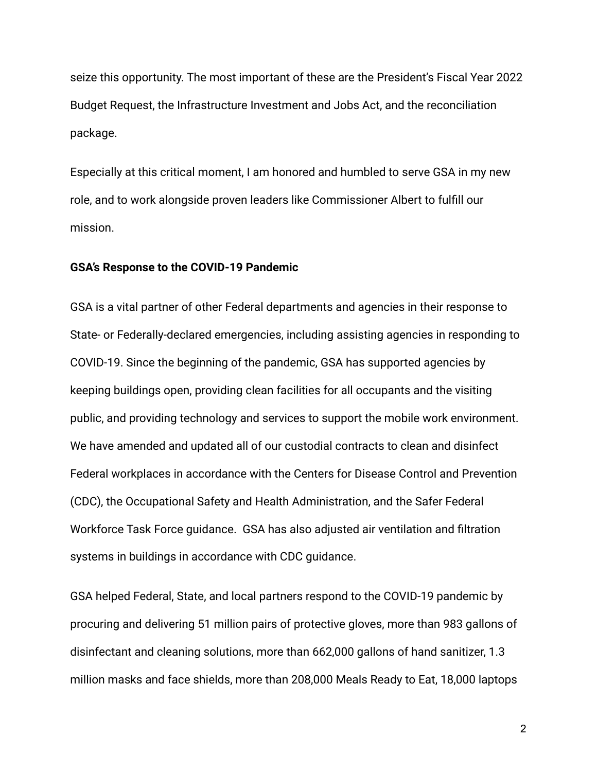seize this opportunity. The most important of these are the President's Fiscal Year 2022 Budget Request, the Infrastructure Investment and Jobs Act, and the reconciliation package.

Especially at this critical moment, I am honored and humbled to serve GSA in my new role, and to work alongside proven leaders like Commissioner Albert to fulfill our mission.

#### **GSA's Response to the COVID-19 Pandemic**

GSA is a vital partner of other Federal departments and agencies in their response to State- or Federally-declared emergencies, including assisting agencies in responding to COVID-19. Since the beginning of the pandemic, GSA has supported agencies by keeping buildings open, providing clean facilities for all occupants and the visiting public, and providing technology and services to support the mobile work environment. We have amended and updated all of our custodial contracts to clean and disinfect Federal workplaces in accordance with the Centers for Disease Control and Prevention (CDC), the Occupational Safety and Health Administration, and the Safer Federal Workforce Task Force guidance. GSA has also adjusted air ventilation and filtration systems in buildings in accordance with CDC guidance.

GSA helped Federal, State, and local partners respond to the COVID-19 pandemic by procuring and delivering 51 million pairs of protective gloves, more than 983 gallons of disinfectant and cleaning solutions, more than 662,000 gallons of hand sanitizer, 1.3 million masks and face shields, more than 208,000 Meals Ready to Eat, 18,000 laptops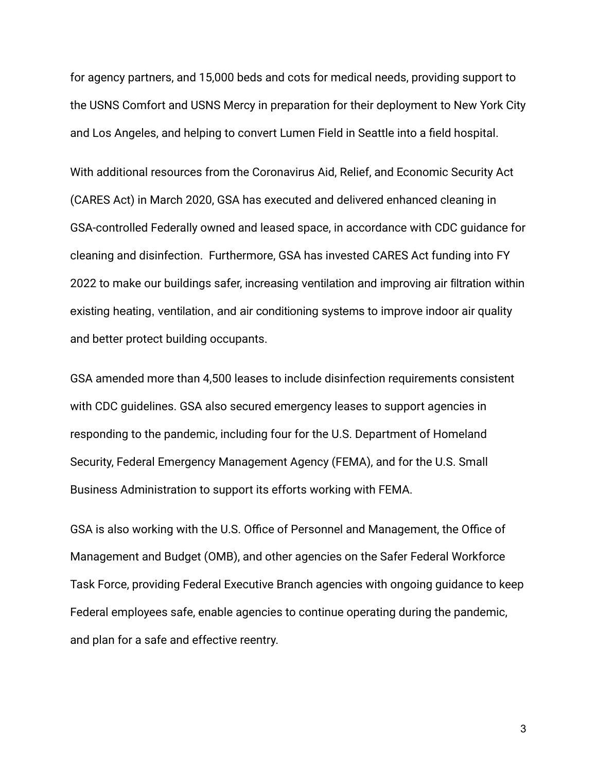for agency partners, and 15,000 beds and cots for medical needs, providing support to the USNS Comfort and USNS Mercy in preparation for their deployment to New York City and Los Angeles, and helping to convert Lumen Field in Seattle into a field hospital.

With additional resources from the Coronavirus Aid, Relief, and Economic Security Act (CARES Act) in March 2020, GSA has executed and delivered enhanced cleaning in GSA-controlled Federally owned and leased space, in accordance with CDC guidance for cleaning and disinfection. Furthermore, GSA has invested CARES Act funding into FY 2022 to make our buildings safer, increasing ventilation and improving air filtration within existing heating, ventilation, and air conditioning systems to improve indoor air quality and better protect building occupants.

GSA amended more than 4,500 leases to include disinfection requirements consistent with CDC guidelines. GSA also secured emergency leases to support agencies in responding to the pandemic, including four for the U.S. Department of Homeland Security, Federal Emergency Management Agency (FEMA), and for the U.S. Small Business Administration to support its efforts working with FEMA.

GSA is also working with the U.S. Office of Personnel and Management, the Office of Management and Budget (OMB), and other agencies on the Safer Federal Workforce Task Force, providing Federal Executive Branch agencies with ongoing guidance to keep Federal employees safe, enable agencies to continue operating during the pandemic, and plan for a safe and effective reentry.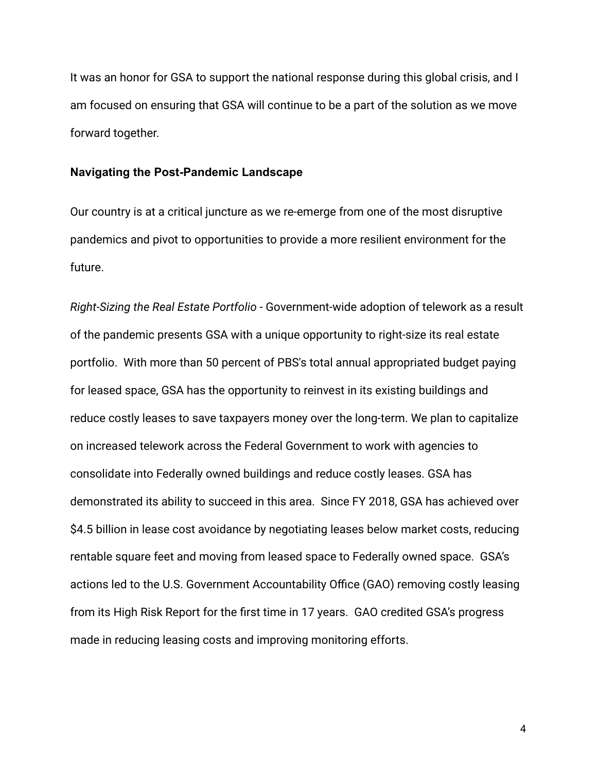It was an honor for GSA to support the national response during this global crisis, and I am focused on ensuring that GSA will continue to be a part of the solution as we move forward together.

## **Navigating the Post-Pandemic Landscape**

Our country is at a critical juncture as we re-emerge from one of the most disruptive pandemics and pivot to opportunities to provide a more resilient environment for the future.

*Right-Sizing the Real Estate Portfolio* - Government-wide adoption of telework as a result of the pandemic presents GSA with a unique opportunity to right-size its real estate portfolio. With more than 50 percent of PBS's total annual appropriated budget paying for leased space, GSA has the opportunity to reinvest in its existing buildings and reduce costly leases to save taxpayers money over the long-term. We plan to capitalize on increased telework across the Federal Government to work with agencies to consolidate into Federally owned buildings and reduce costly leases. GSA has demonstrated its ability to succeed in this area. Since FY 2018, GSA has achieved over \$4.5 billion in lease cost avoidance by negotiating leases below market costs, reducing rentable square feet and moving from leased space to Federally owned space. GSA's actions led to the U.S. Government Accountability Office (GAO) removing costly leasing from its High Risk Report for the first time in 17 years. GAO credited GSA's progress made in reducing leasing costs and improving monitoring efforts.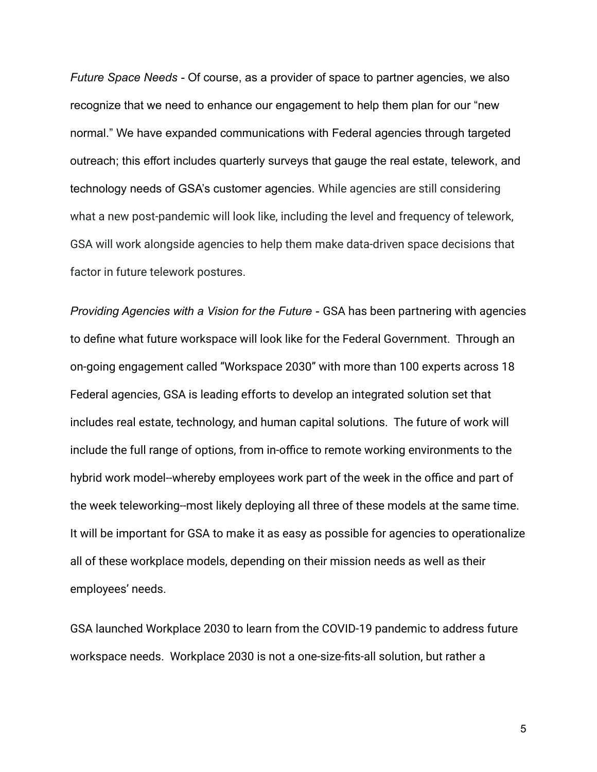*Future Space Needs -* Of course, as a provider of space to partner agencies, we also recognize that we need to enhance our engagement to help them plan for our "new normal." We have expanded communications with Federal agencies through targeted outreach; this effort includes quarterly surveys that gauge the real estate, telework, and technology needs of GSA's customer agencies. While agencies are still considering what a new post-pandemic will look like, including the level and frequency of telework, GSA will work alongside agencies to help them make data-driven space decisions that factor in future telework postures.

*Providing Agencies with a Vision for the Future -* GSA has been partnering with agencies to define what future workspace will look like for the Federal Government. Through an on-going engagement called "Workspace 2030" with more than 100 experts across 18 Federal agencies, GSA is leading efforts to develop an integrated solution set that includes real estate, technology, and human capital solutions. The future of work will include the full range of options, from in-office to remote working environments to the hybrid work model--whereby employees work part of the week in the office and part of the week teleworking--most likely deploying all three of these models at the same time. It will be important for GSA to make it as easy as possible for agencies to operationalize all of these workplace models, depending on their mission needs as well as their employees' needs.

GSA launched Workplace 2030 to learn from the COVID-19 pandemic to address future workspace needs. Workplace 2030 is not a one-size-fits-all solution, but rather a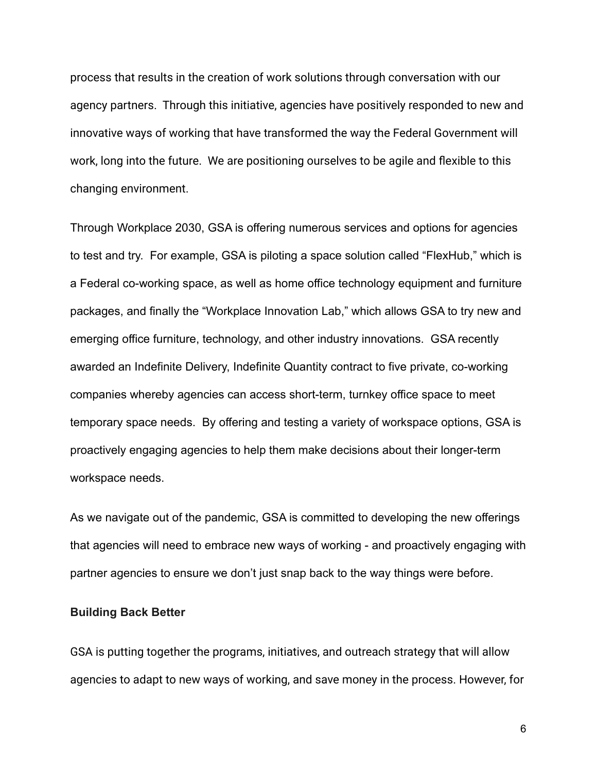process that results in the creation of work solutions through conversation with our agency partners. Through this initiative, agencies have positively responded to new and innovative ways of working that have transformed the way the Federal Government will work, long into the future. We are positioning ourselves to be agile and flexible to this changing environment.

Through Workplace 2030, GSA is offering numerous services and options for agencies to test and try. For example, GSA is piloting a space solution called "FlexHub," which is a Federal co-working space, as well as home office technology equipment and furniture packages, and finally the "Workplace Innovation Lab," which allows GSA to try new and emerging office furniture, technology, and other industry innovations. GSA recently awarded an Indefinite Delivery, Indefinite Quantity contract to five private, co-working companies whereby agencies can access short-term, turnkey office space to meet temporary space needs. By offering and testing a variety of workspace options, GSA is proactively engaging agencies to help them make decisions about their longer-term workspace needs.

As we navigate out of the pandemic, GSA is committed to developing the new offerings that agencies will need to embrace new ways of working - and proactively engaging with partner agencies to ensure we don't just snap back to the way things were before.

## **Building Back Better**

GSA is putting together the programs, initiatives, and outreach strategy that will allow agencies to adapt to new ways of working, and save money in the process. However, for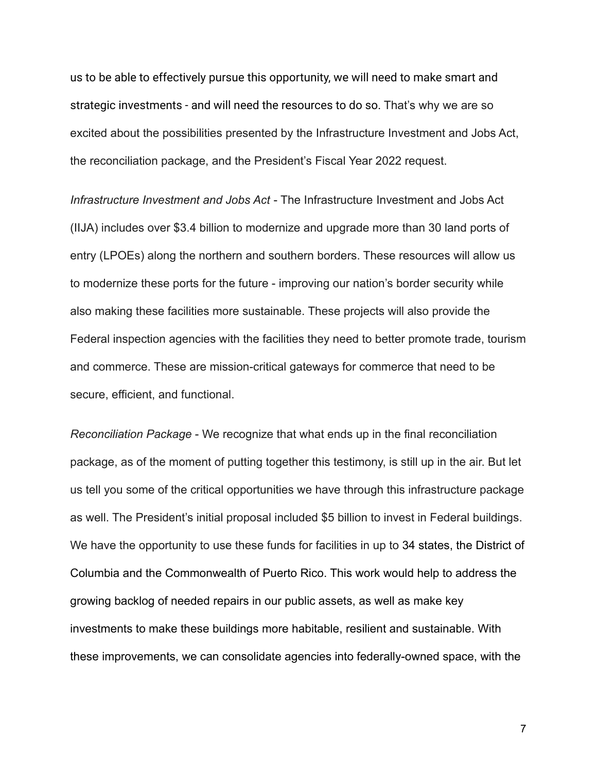us to be able to effectively pursue this opportunity, we will need to make smart and strategic investments - and will need the resources to do so. That's why we are so excited about the possibilities presented by the Infrastructure Investment and Jobs Act, the reconciliation package, and the President's Fiscal Year 2022 request.

*Infrastructure Investment and Jobs Act* - The Infrastructure Investment and Jobs Act (IIJA) includes over \$3.4 billion to modernize and upgrade more than 30 land ports of entry (LPOEs) along the northern and southern borders. These resources will allow us to modernize these ports for the future - improving our nation's border security while also making these facilities more sustainable. These projects will also provide the Federal inspection agencies with the facilities they need to better promote trade, tourism and commerce. These are mission-critical gateways for commerce that need to be secure, efficient, and functional.

*Reconciliation Package* - We recognize that what ends up in the final reconciliation package, as of the moment of putting together this testimony, is still up in the air. But let us tell you some of the critical opportunities we have through this infrastructure package as well. The President's initial proposal included \$5 billion to invest in Federal buildings. We have the opportunity to use these funds for facilities in up to 34 states, the District of Columbia and the Commonwealth of Puerto Rico. This work would help to address the growing backlog of needed repairs in our public assets, as well as make key investments to make these buildings more habitable, resilient and sustainable. With these improvements, we can consolidate agencies into federally-owned space, with the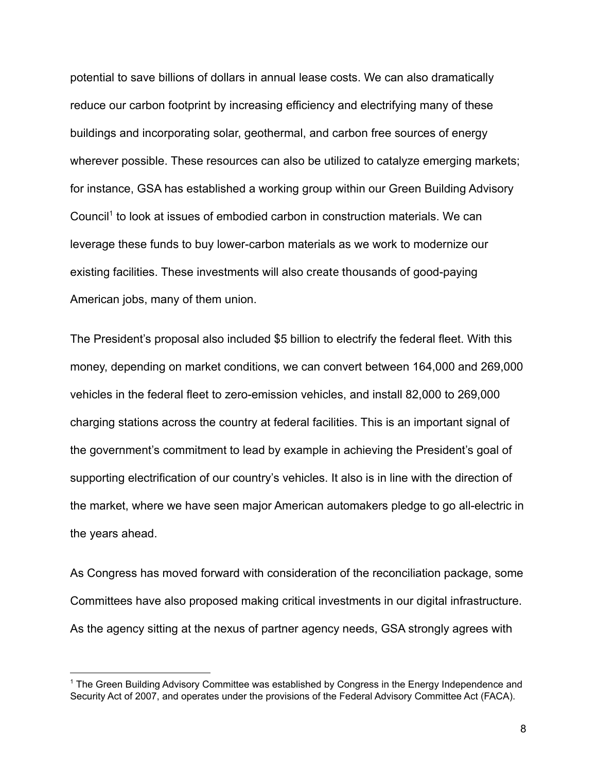potential to save billions of dollars in annual lease costs. We can also dramatically reduce our carbon footprint by increasing efficiency and electrifying many of these buildings and incorporating solar, geothermal, and carbon free sources of energy wherever possible. These resources can also be utilized to catalyze emerging markets; for instance, GSA has established a working group within our Green Building Advisory Council<sup>1</sup> to look at issues of embodied carbon in construction materials. We can leverage these funds to buy lower-carbon materials as we work to modernize our existing facilities. These investments will also create thousands of good-paying American jobs, many of them union.

The President's proposal also included \$5 billion to electrify the federal fleet. With this money, depending on market conditions, we can convert between 164,000 and 269,000 vehicles in the federal fleet to zero-emission vehicles, and install 82,000 to 269,000 charging stations across the country at federal facilities. This is an important signal of the government's commitment to lead by example in achieving the President's goal of supporting electrification of our country's vehicles. It also is in line with the direction of the market, where we have seen major American automakers pledge to go all-electric in the years ahead.

As Congress has moved forward with consideration of the reconciliation package, some Committees have also proposed making critical investments in our digital infrastructure. As the agency sitting at the nexus of partner agency needs, GSA strongly agrees with

<sup>1</sup> The Green Building Advisory Committee was established by Congress in the Energy Independence and Security Act of 2007, and operates under the provisions of the Federal Advisory Committee Act (FACA).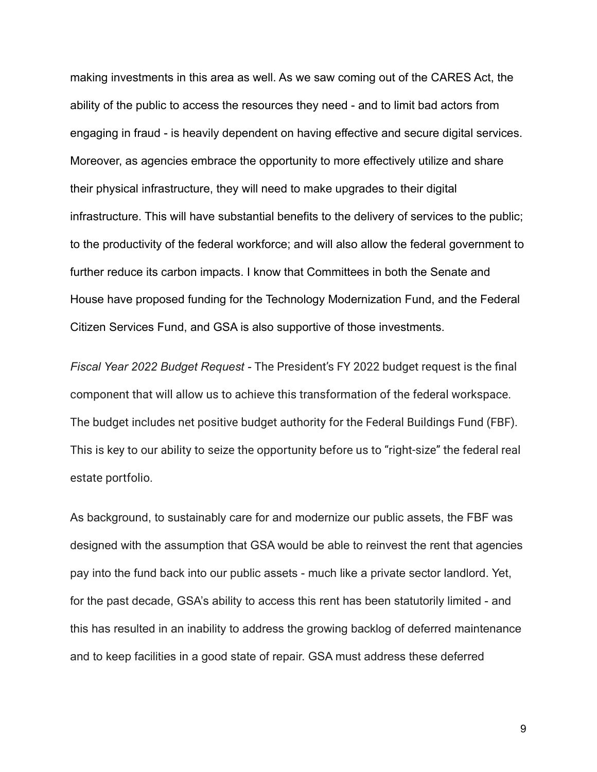making investments in this area as well. As we saw coming out of the CARES Act, the ability of the public to access the resources they need - and to limit bad actors from engaging in fraud - is heavily dependent on having effective and secure digital services. Moreover, as agencies embrace the opportunity to more effectively utilize and share their physical infrastructure, they will need to make upgrades to their digital infrastructure. This will have substantial benefits to the delivery of services to the public; to the productivity of the federal workforce; and will also allow the federal government to further reduce its carbon impacts. I know that Committees in both the Senate and House have proposed funding for the Technology Modernization Fund, and the Federal Citizen Services Fund, and GSA is also supportive of those investments.

*Fiscal Year 2022 Budget Request -* The President's FY 2022 budget request is the final component that will allow us to achieve this transformation of the federal workspace. The budget includes net positive budget authority for the Federal Buildings Fund (FBF). This is key to our ability to seize the opportunity before us to "right-size" the federal real estate portfolio.

As background, to sustainably care for and modernize our public assets, the FBF was designed with the assumption that GSA would be able to reinvest the rent that agencies pay into the fund back into our public assets - much like a private sector landlord. Yet, for the past decade, GSA's ability to access this rent has been statutorily limited - and this has resulted in an inability to address the growing backlog of deferred maintenance and to keep facilities in a good state of repair. GSA must address these deferred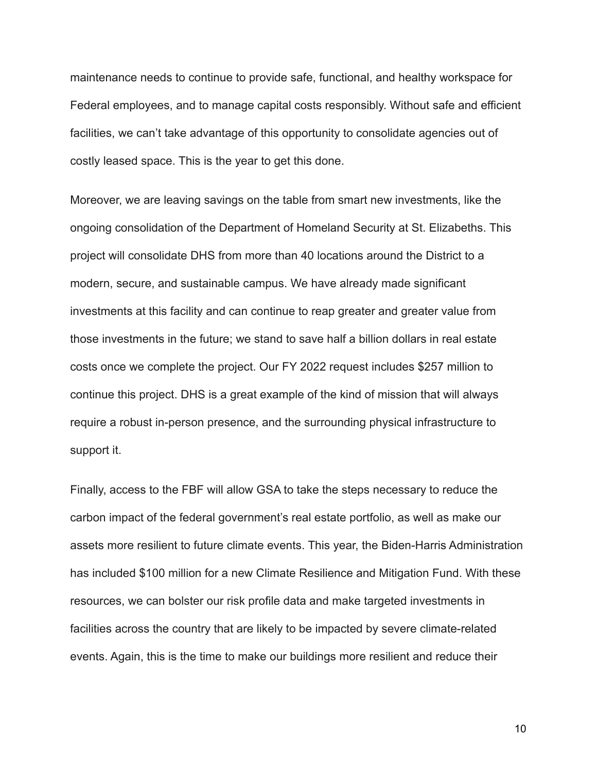maintenance needs to continue to provide safe, functional, and healthy workspace for Federal employees, and to manage capital costs responsibly. Without safe and efficient facilities, we can't take advantage of this opportunity to consolidate agencies out of costly leased space. This is the year to get this done.

Moreover, we are leaving savings on the table from smart new investments, like the ongoing consolidation of the Department of Homeland Security at St. Elizabeths. This project will consolidate DHS from more than 40 locations around the District to a modern, secure, and sustainable campus. We have already made significant investments at this facility and can continue to reap greater and greater value from those investments in the future; we stand to save half a billion dollars in real estate costs once we complete the project. Our FY 2022 request includes \$257 million to continue this project. DHS is a great example of the kind of mission that will always require a robust in-person presence, and the surrounding physical infrastructure to support it.

Finally, access to the FBF will allow GSA to take the steps necessary to reduce the carbon impact of the federal government's real estate portfolio, as well as make our assets more resilient to future climate events. This year, the Biden-Harris Administration has included \$100 million for a new Climate Resilience and Mitigation Fund. With these resources, we can bolster our risk profile data and make targeted investments in facilities across the country that are likely to be impacted by severe climate-related events. Again, this is the time to make our buildings more resilient and reduce their